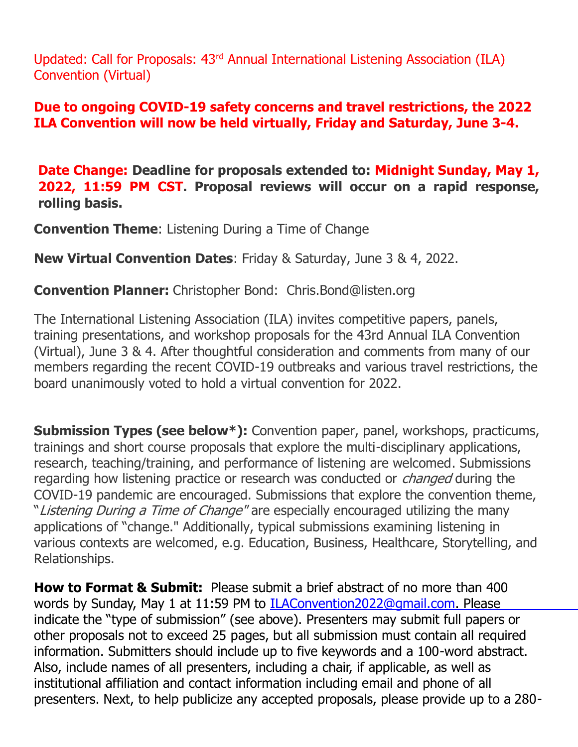Updated: Call for Proposals: 43rd Annual International Listening Association (ILA) Convention (Virtual)

## **Due to ongoing COVID-19 safety concerns and travel restrictions, the 2022 ILA Convention will now be held virtually, Friday and Saturday, June 3-4.**

 **Date Change: Deadline for proposals extended to: Midnight Sunday, May 1, 2022, 11:59 PM CST. Proposal reviews will occur on a rapid response, rolling basis.**

**Convention Theme**: Listening During a Time of Change

**New Virtual Convention Dates**: Friday & Saturday, June 3 & 4, 2022.

**Convention Planner:** Christopher Bond: Chris.Bond@listen.org

 The International Listening Association (ILA) invites competitive papers, panels, training presentations, and workshop proposals for the 43rd Annual ILA Convention (Virtual), June 3 & 4. After thoughtful consideration and comments from many of our members regarding the recent COVID-19 outbreaks and various travel restrictions, the board unanimously voted to hold a virtual convention for 2022.

**Submission Types (see below\*):** Convention paper, panel, workshops, practicums, trainings and short course proposals that explore the multi-disciplinary applications, research, teaching/training, and performance of listening are welcomed. Submissions regarding how listening practice or research was conducted or *changed* during the COVID-19 pandemic are encouraged. Submissions that explore the convention theme, "Listening During a Time of Change" are especially encouraged utilizing the many applications of "change." Additionally, typical submissions examining listening in various contexts are welcomed, e.g. Education, Business, Healthcare, Storytelling, and Relationships.

 **How to Format & Submit:** Please submit a brief abstract of no more than 400 words by Sunday, May 1 at 11:59 PM to I[LAConvention2022@gmail.com.](mailto:ILAConvention2022@gmail.com) Please indicate the "type of submission" (see above). Presenters may submit full papers or other proposals not to exceed 25 pages, but all submission must contain all required information. Submitters should include up to five keywords and a 100-word abstract. Also, include names of all presenters, including a chair, if applicable, as well as institutional affiliation and contact information including email and phone of all presenters. Next, to help publicize any accepted proposals, please provide up to a 280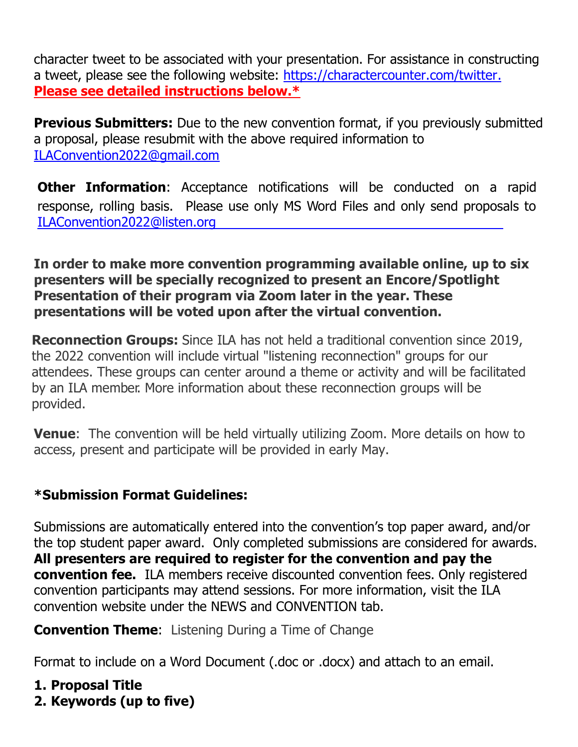character tweet to be associated with your presentation. For assistance in constructing a tweet, please see the following website: [https://charactercounter.com/twitter.](https://charactercounter.com/twitter) **Please see detailed instructions below.\***

**Previous Submitters:** Due to the new convention format, if you previously submitted a proposal, please resubmit with the above required information to [ILAConvention2022@gmail.com](mailto:ILAConvention2022@gmail.com)

**Other Information**: Acceptance notifications will be conducted on a rapid response, rolling basis. Please use only MS Word Files and only send proposals to [ILAConvention2022@listen.org](mailto:ILAConvention2022@listen.org)

**In order to make more convention programming available online, up to six presenters will be specially recognized to present an Encore/Spotlight Presentation of their program via Zoom later in the year. These presentations will be voted upon after the virtual convention.** 

 **Reconnection Groups:** Since ILA has not held a traditional convention since 2019, the 2022 convention will include virtual "listening reconnection" groups for our attendees. These groups can center around a theme or activity and will be facilitated by an ILA member. More information about these reconnection groups will be provided.

**Venue**: The convention will be held virtually utilizing Zoom. More details on how to access, present and participate will be provided in early May.

## **\*Submission Format Guidelines:**

Submissions are automatically entered into the convention's top paper award, and/or the top student paper award. Only completed submissions are considered for awards. **All presenters are required to register for the convention and pay the convention fee.** ILA members receive discounted convention fees. Only registered convention participants may attend sessions. For more information, visit the ILA convention website under the NEWS and CONVENTION tab.

**Convention Theme:** Listening During a Time of Change

Format to include on a Word Document (.doc or .docx) and attach to an email.

**1. Proposal Title**

**2. Keywords (up to five)**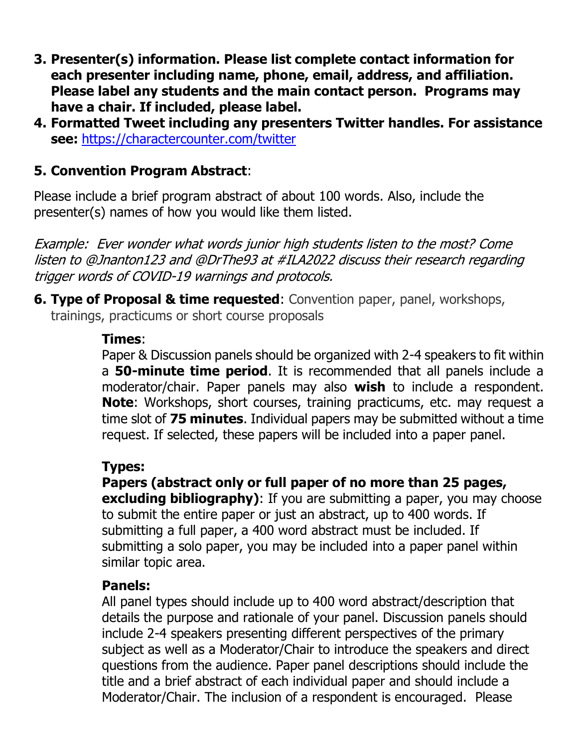- **3. Presenter(s) information. Please list complete contact information for each presenter including name, phone, email, address, and affiliation. Please label any students and the main contact person. Programs may have a chair. If included, please label.**
- **4. Formatted Tweet including any presenters Twitter handles. For assistance see:** <https://charactercounter.com/twitter>

## **5. Convention Program Abstract**:

Please include a brief program abstract of about 100 words. Also, include the presenter(s) names of how you would like them listed.

Example: Ever wonder what words junior high students listen to the most? Come listen to @Jnanton123 and @DrThe93 at #ILA2022 discuss their research regarding trigger words of COVID-19 warnings and protocols.

**6. Type of Proposal & time requested**: Convention paper, panel, workshops, trainings, practicums or short course proposals

#### **Times**:

Paper & Discussion panels should be organized with 2-4 speakers to fit within a **50-minute time period**. It is recommended that all panels include a moderator/chair. Paper panels may also **wish** to include a respondent. **Note**: Workshops, short courses, training practicums, etc. may request a time slot of **75 minutes**. Individual papers may be submitted without a time request. If selected, these papers will be included into a paper panel.

#### **Types:**

**Papers (abstract only or full paper of no more than 25 pages, excluding bibliography**): If you are submitting a paper, you may choose to submit the entire paper or just an abstract, up to 400 words. If submitting a full paper, a 400 word abstract must be included. If submitting a solo paper, you may be included into a paper panel within similar topic area.

#### **Panels:**

All panel types should include up to 400 word abstract/description that details the purpose and rationale of your panel. Discussion panels should include 2-4 speakers presenting different perspectives of the primary subject as well as a Moderator/Chair to introduce the speakers and direct questions from the audience. Paper panel descriptions should include the title and a brief abstract of each individual paper and should include a Moderator/Chair. The inclusion of a respondent is encouraged. Please